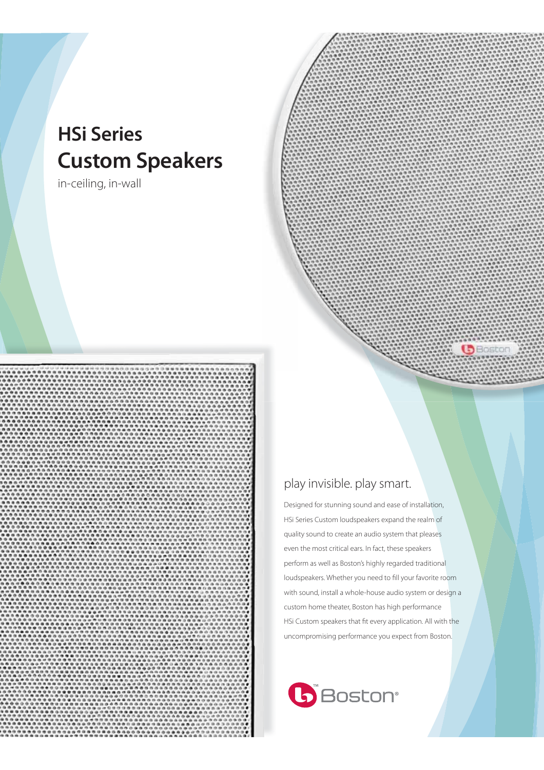# **HSi Series Custom Speakers**

in-ceiling, in-wall





GBosto

Designed for stunning sound and ease of installation, HSi Series Custom loudspeakers expand the realm of quality sound to create an audio system that pleases even the most critical ears. In fact, these speakers perform as well as Boston's highly regarded traditional loudspeakers. Whether you need to fill your favorite room with sound, install a whole-house audio system or design a custom home theater, Boston has high performance HSi Custom speakers that fit every application. All with the uncompromising performance you expect from Boston.

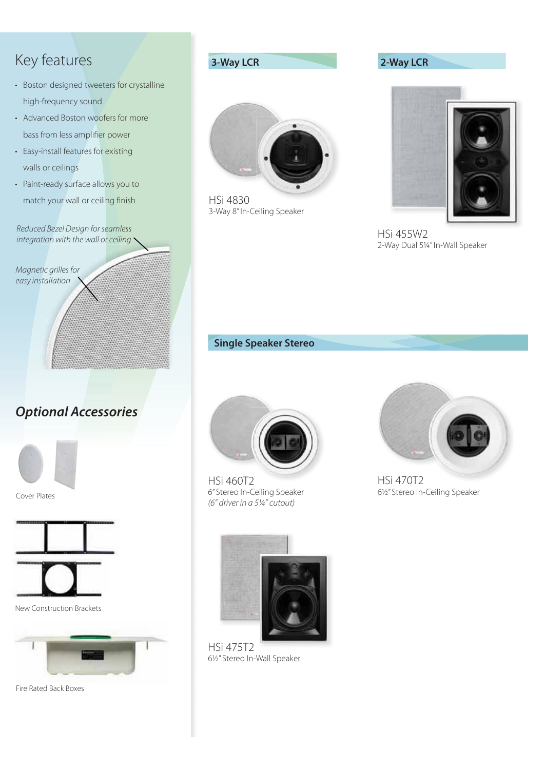- Boston designed tweeters for crystalline high-frequency sound
- Advanced Boston woofers for more bass from less amplifier power
- Easy-install features for existing walls or ceilings
- Key features<br>
 Boston designed tweete<br>
high-frequency sound<br>
 Advanced Boston woofe<br>
bass from less amplifier<br>
 Easy-install features for e<br>
walls or ceilings<br>
 Paint-ready surface allow<br>
match your wall or ceilin<br>
Red • Paint-ready surface allows you to match your wall or ceiling finish

Reduced Bezel Design for seamless integration with the wall or ceiling  $\sim$ 

Magnetic grilles for Magnetic grilles<br>easy installation

# *Optional Accessories*



Cover Plates



New Construction Brackets



Fire Rated Back Boxes



HSi 4830 3-Way 8" In-Ceiling Speaker

### **3-Way LCR 2-Way LCR**



HSi 455W2 2-Way Dual 5¼" In-Wall Speaker

### **Single Speaker Stereo**



HSi 460T2 6" Stereo In-Ceiling Speaker (6" driver in a 5¼" cutout)



HSi 475T2 6½" Stereo In-Wall Speaker



HSi 470T2 6½" Stereo In-Ceiling Speaker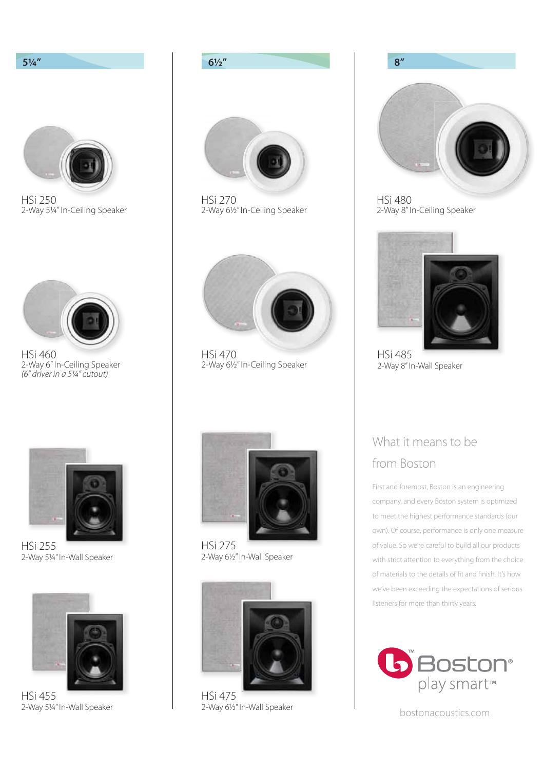

2-Way 5¼" In-Wall Speaker



HSi 270 2-Way 6½" In-Ceiling Speaker



HSi 470 2-Way 6½" In-Ceiling Speaker



HSi 275 2-Way 6½" In-Wall Speaker



2-Way 6½" In-Wall Speaker



HSi 480 2-Way 8" In-Ceiling Speaker



HSi 485 2-Way 8" In-Wall Speaker

# What it means to be from Boston

First and foremost, Boston is an engineering company, and every Boston system is optimized to meet the highest performance standards (our own). Of course, performance is only one measure of value. So we're careful to build all our products with strict attention to everything from the choice of materials to the details of fit and finish. It's how we've been exceeding the expectations of serious listeners for more than thirty years.



bostonacoustics.com